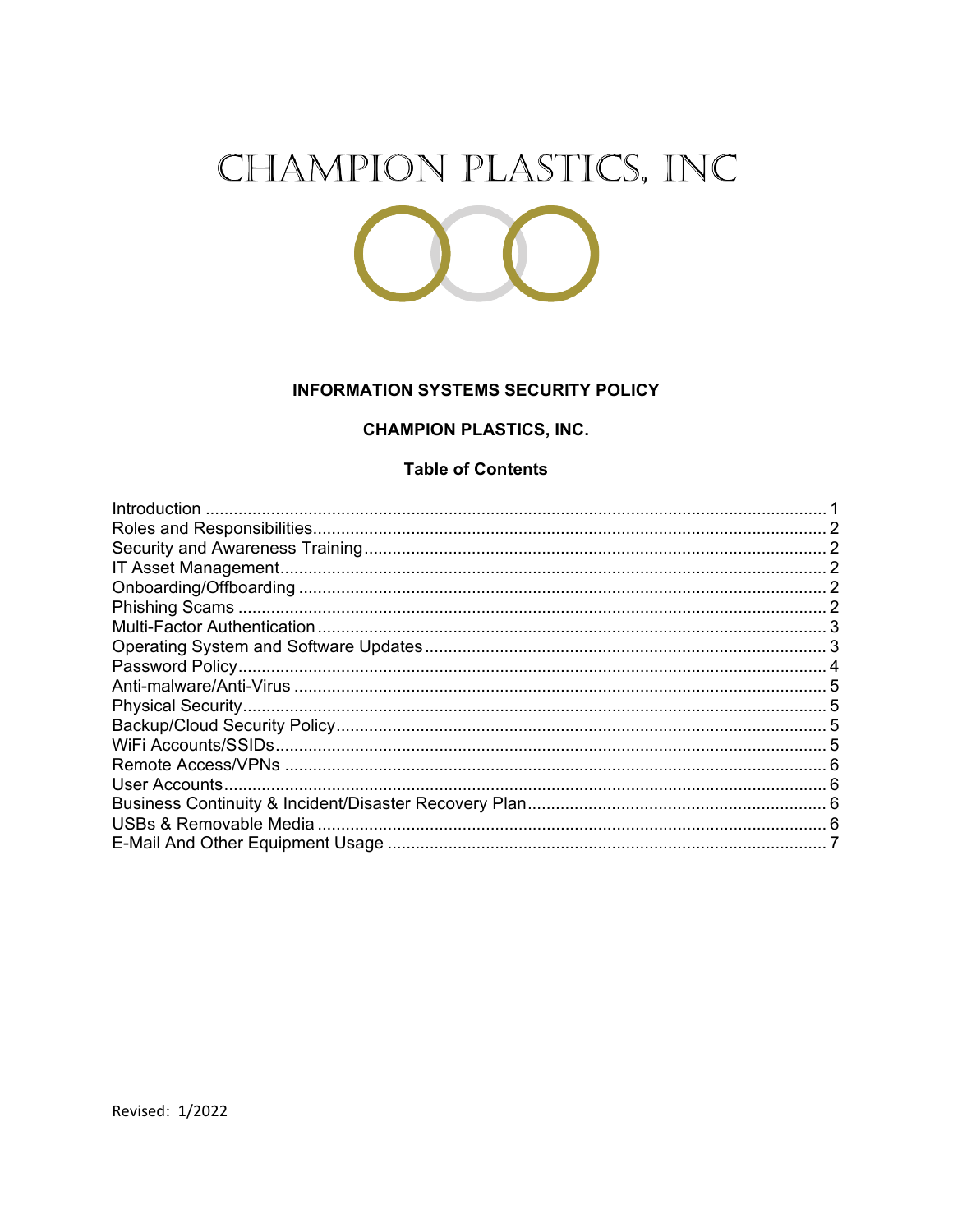# CHAMPION PLASTICS, INC

### **INFORMATION SYSTEMS SECURITY POLICY**

### **CHAMPION PLASTICS, INC.**

### **Table of Contents**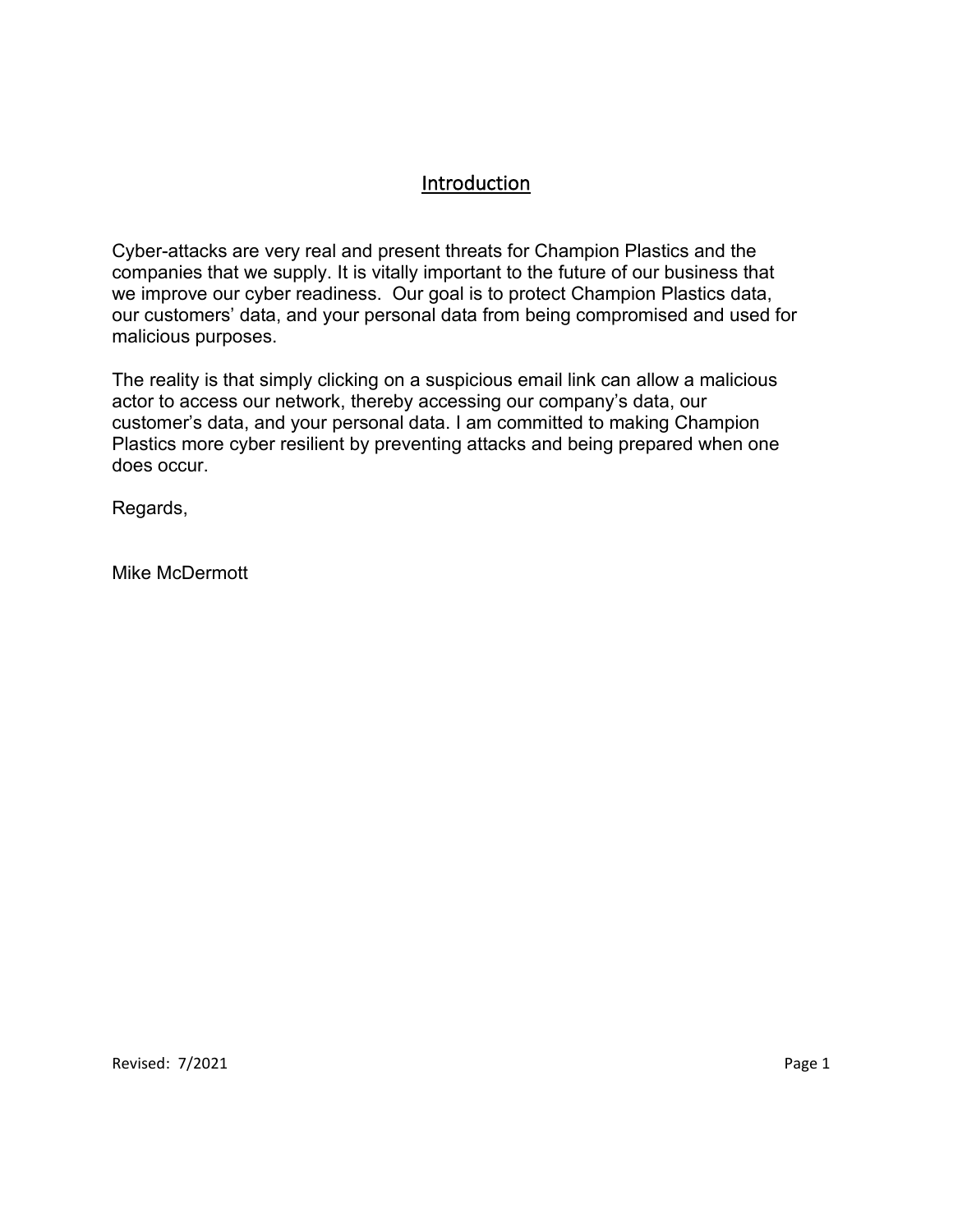# Introduction

Cyber-attacks are very real and present threats for Champion Plastics and the companies that we supply. It is vitally important to the future of our business that we improve our cyber readiness. Our goal is to protect Champion Plastics data, our customers' data, and your personal data from being compromised and used for malicious purposes.

The reality is that simply clicking on a suspicious email link can allow a malicious actor to access our network, thereby accessing our company's data, our customer's data, and your personal data. I am committed to making Champion Plastics more cyber resilient by preventing attacks and being prepared when one does occur.

Regards,

Mike McDermott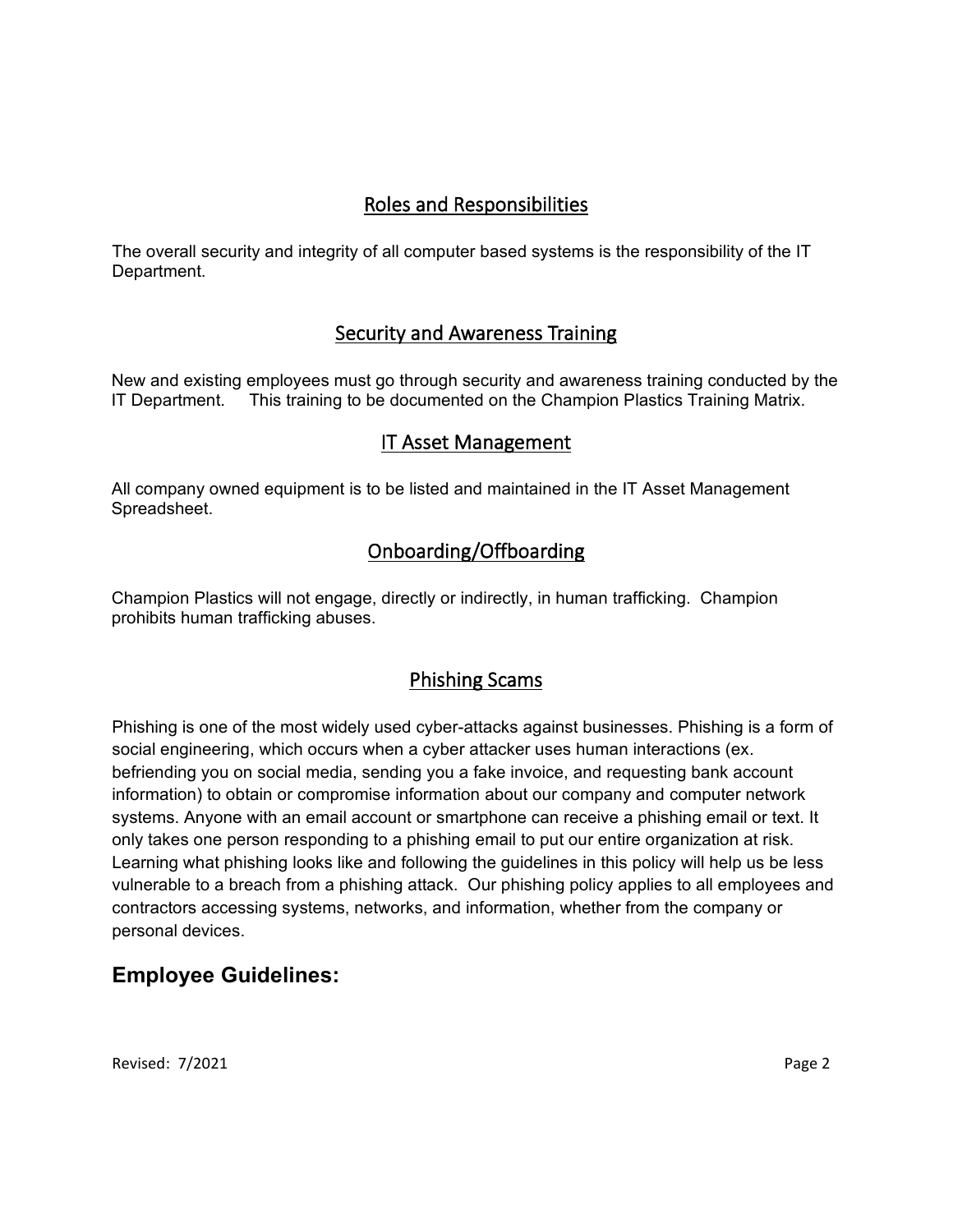# Roles and Responsibilities

The overall security and integrity of all computer based systems is the responsibility of the IT Department.

# Security and Awareness Training

New and existing employees must go through security and awareness training conducted by the IT Department. This training to be documented on the Champion Plastics Training Matrix.

### IT Asset Management

All company owned equipment is to be listed and maintained in the IT Asset Management Spreadsheet.

# Onboarding/Offboarding

Champion Plastics will not engage, directly or indirectly, in human trafficking. Champion prohibits human trafficking abuses.

# Phishing Scams

Phishing is one of the most widely used cyber-attacks against businesses. Phishing is a form of social engineering, which occurs when a cyber attacker uses human interactions (ex. befriending you on social media, sending you a fake invoice, and requesting bank account information) to obtain or compromise information about our company and computer network systems. Anyone with an email account or smartphone can receive a phishing email or text. It only takes one person responding to a phishing email to put our entire organization at risk. Learning what phishing looks like and following the guidelines in this policy will help us be less vulnerable to a breach from a phishing attack. Our phishing policy applies to all employees and contractors accessing systems, networks, and information, whether from the company or personal devices.

# **Employee Guidelines:**

Revised: 7/2021 **Page 2**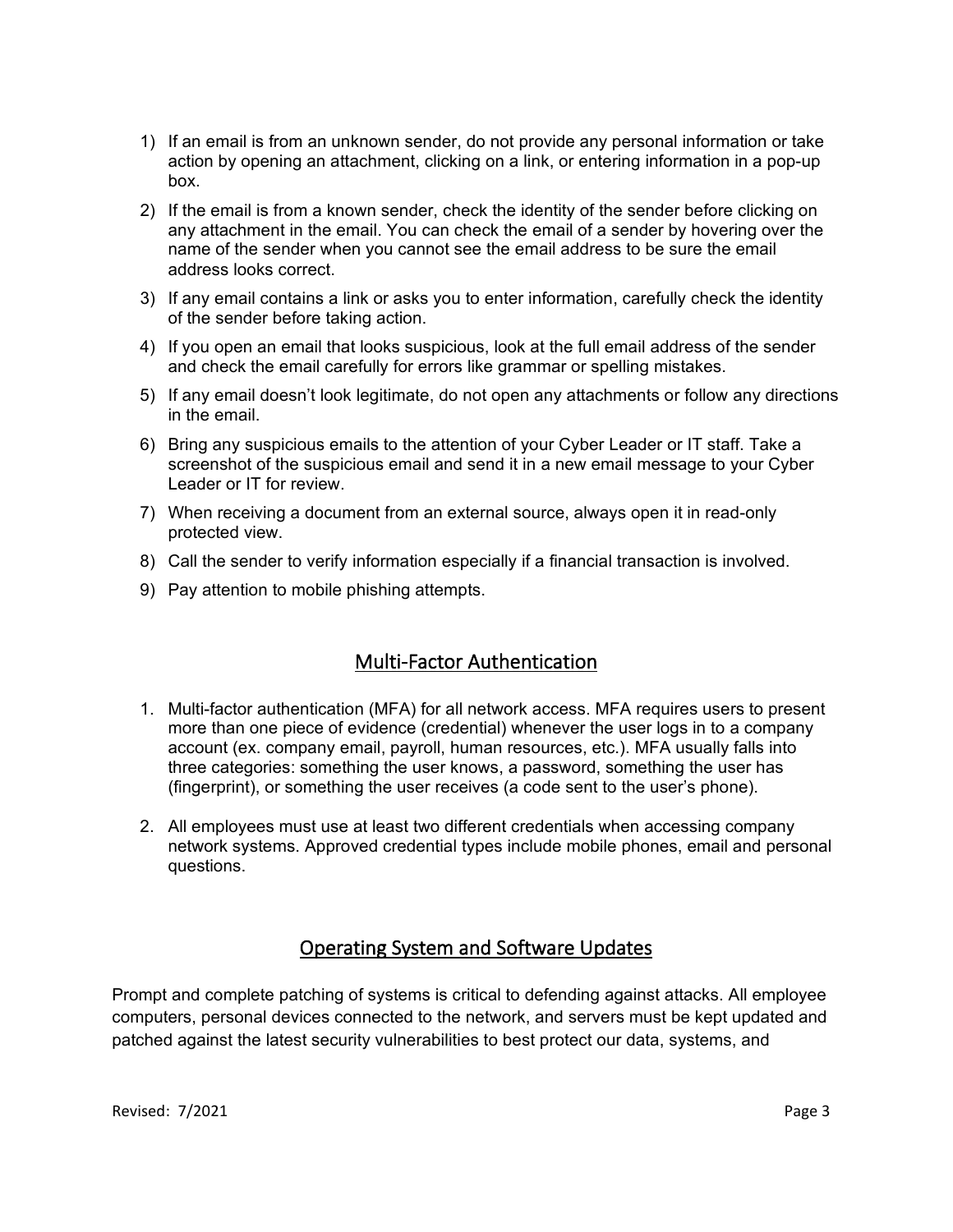- 1) If an email is from an unknown sender, do not provide any personal information or take action by opening an attachment, clicking on a link, or entering information in a pop-up box.
- 2) If the email is from a known sender, check the identity of the sender before clicking on any attachment in the email. You can check the email of a sender by hovering over the name of the sender when you cannot see the email address to be sure the email address looks correct.
- 3) If any email contains a link or asks you to enter information, carefully check the identity of the sender before taking action.
- 4) If you open an email that looks suspicious, look at the full email address of the sender and check the email carefully for errors like grammar or spelling mistakes.
- 5) If any email doesn't look legitimate, do not open any attachments or follow any directions in the email.
- 6) Bring any suspicious emails to the attention of your Cyber Leader or IT staff. Take a screenshot of the suspicious email and send it in a new email message to your Cyber Leader or IT for review.
- 7) When receiving a document from an external source, always open it in read-only protected view.
- 8) Call the sender to verify information especially if a financial transaction is involved.
- 9) Pay attention to mobile phishing attempts.

# Multi-Factor Authentication

- 1. Multi-factor authentication (MFA) for all network access. MFA requires users to present more than one piece of evidence (credential) whenever the user logs in to a company account (ex. company email, payroll, human resources, etc.). MFA usually falls into three categories: something the user knows, a password, something the user has (fingerprint), or something the user receives (a code sent to the user's phone).
- 2. All employees must use at least two different credentials when accessing company network systems. Approved credential types include mobile phones, email and personal questions.

### Operating System and Software Updates

Prompt and complete patching of systems is critical to defending against attacks. All employee computers, personal devices connected to the network, and servers must be kept updated and patched against the latest security vulnerabilities to best protect our data, systems, and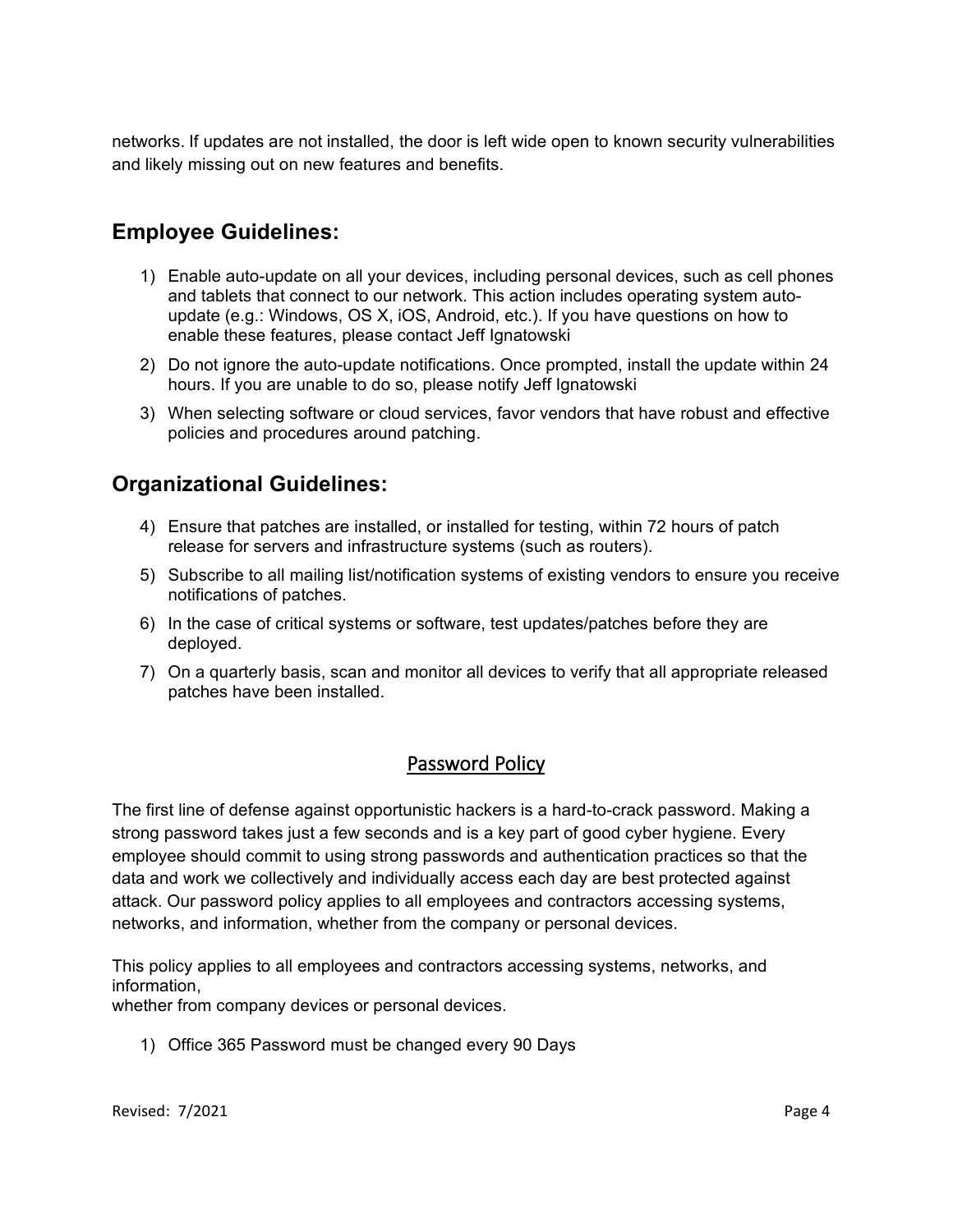networks. If updates are not installed, the door is left wide open to known security vulnerabilities and likely missing out on new features and benefits.

# **Employee Guidelines:**

- 1) Enable auto-update on all your devices, including personal devices, such as cell phones and tablets that connect to our network. This action includes operating system autoupdate (e.g.: Windows, OS X, iOS, Android, etc.). If you have questions on how to enable these features, please contact Jeff Ignatowski
- 2) Do not ignore the auto-update notifications. Once prompted, install the update within 24 hours. If you are unable to do so, please notify Jeff Ignatowski
- 3) When selecting software or cloud services, favor vendors that have robust and effective policies and procedures around patching.

# **Organizational Guidelines:**

- 4) Ensure that patches are installed, or installed for testing, within 72 hours of patch release for servers and infrastructure systems (such as routers).
- 5) Subscribe to all mailing list/notification systems of existing vendors to ensure you receive notifications of patches.
- 6) In the case of critical systems or software, test updates/patches before they are deployed.
- 7) On a quarterly basis, scan and monitor all devices to verify that all appropriate released patches have been installed.

# Password Policy

The first line of defense against opportunistic hackers is a hard-to-crack password. Making a strong password takes just a few seconds and is a key part of good cyber hygiene. Every employee should commit to using strong passwords and authentication practices so that the data and work we collectively and individually access each day are best protected against attack. Our password policy applies to all employees and contractors accessing systems, networks, and information, whether from the company or personal devices.

This policy applies to all employees and contractors accessing systems, networks, and information,

whether from company devices or personal devices.

1) Office 365 Password must be changed every 90 Days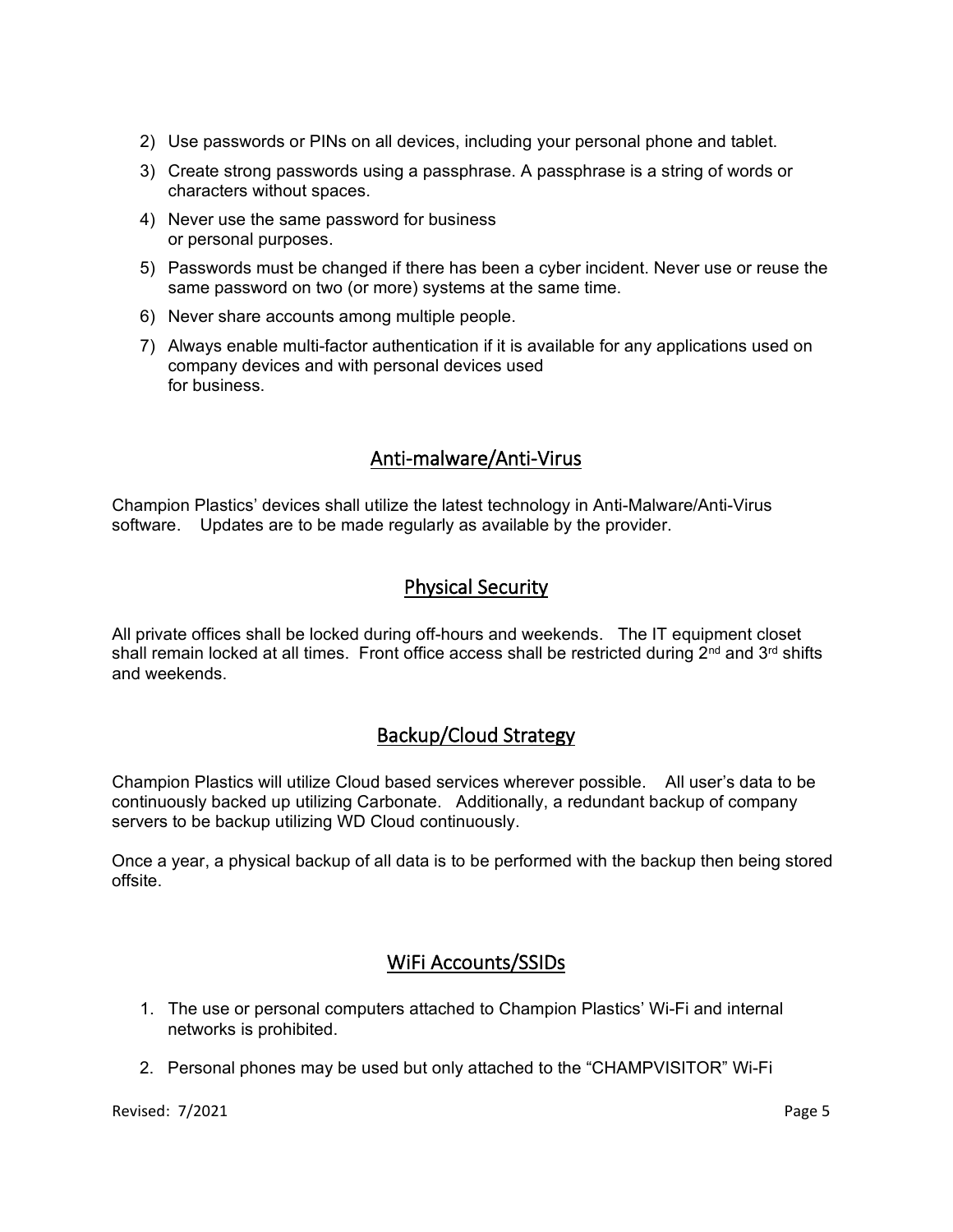- 2) Use passwords or PINs on all devices, including your personal phone and tablet.
- 3) Create strong passwords using a passphrase. A passphrase is a string of words or characters without spaces.
- 4) Never use the same password for business or personal purposes.
- 5) Passwords must be changed if there has been a cyber incident. Never use or reuse the same password on two (or more) systems at the same time.
- 6) Never share accounts among multiple people.
- 7) Always enable multi-factor authentication if it is available for any applications used on company devices and with personal devices used for business.

# Anti-malware/Anti-Virus

Champion Plastics' devices shall utilize the latest technology in Anti-Malware/Anti-Virus software. Updates are to be made regularly as available by the provider.

# Physical Security

All private offices shall be locked during off-hours and weekends. The IT equipment closet shall remain locked at all times. Front office access shall be restricted during  $2^{nd}$  and  $3^{rd}$  shifts and weekends.

# Backup/Cloud Strategy

Champion Plastics will utilize Cloud based services wherever possible. All user's data to be continuously backed up utilizing Carbonate. Additionally, a redundant backup of company servers to be backup utilizing WD Cloud continuously.

Once a year, a physical backup of all data is to be performed with the backup then being stored offsite.

### WiFi Accounts/SSIDs

- 1. The use or personal computers attached to Champion Plastics' Wi-Fi and internal networks is prohibited.
- 2. Personal phones may be used but only attached to the "CHAMPVISITOR" Wi-Fi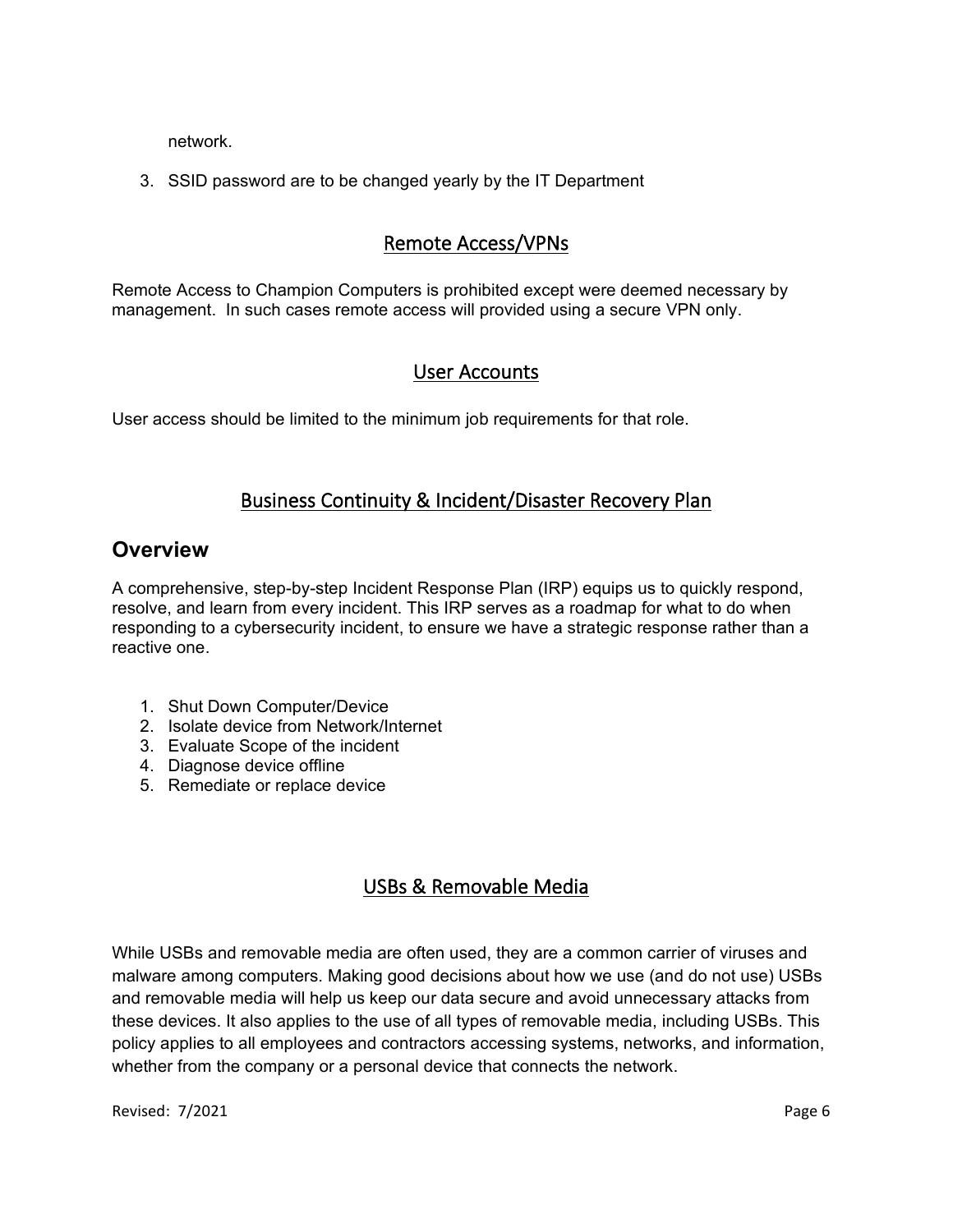network.

3. SSID password are to be changed yearly by the IT Department

# Remote Access/VPNs

Remote Access to Champion Computers is prohibited except were deemed necessary by management. In such cases remote access will provided using a secure VPN only.

# User Accounts

User access should be limited to the minimum job requirements for that role.

# Business Continuity & Incident/Disaster Recovery Plan

# **Overview**

A comprehensive, step-by-step Incident Response Plan (IRP) equips us to quickly respond, resolve, and learn from every incident. This IRP serves as a roadmap for what to do when responding to a cybersecurity incident, to ensure we have a strategic response rather than a reactive one.

- 1. Shut Down Computer/Device
- 2. Isolate device from Network/Internet
- 3. Evaluate Scope of the incident
- 4. Diagnose device offline
- 5. Remediate or replace device

# USBs & Removable Media

While USBs and removable media are often used, they are a common carrier of viruses and malware among computers. Making good decisions about how we use (and do not use) USBs and removable media will help us keep our data secure and avoid unnecessary attacks from these devices. It also applies to the use of all types of removable media, including USBs. This policy applies to all employees and contractors accessing systems, networks, and information, whether from the company or a personal device that connects the network.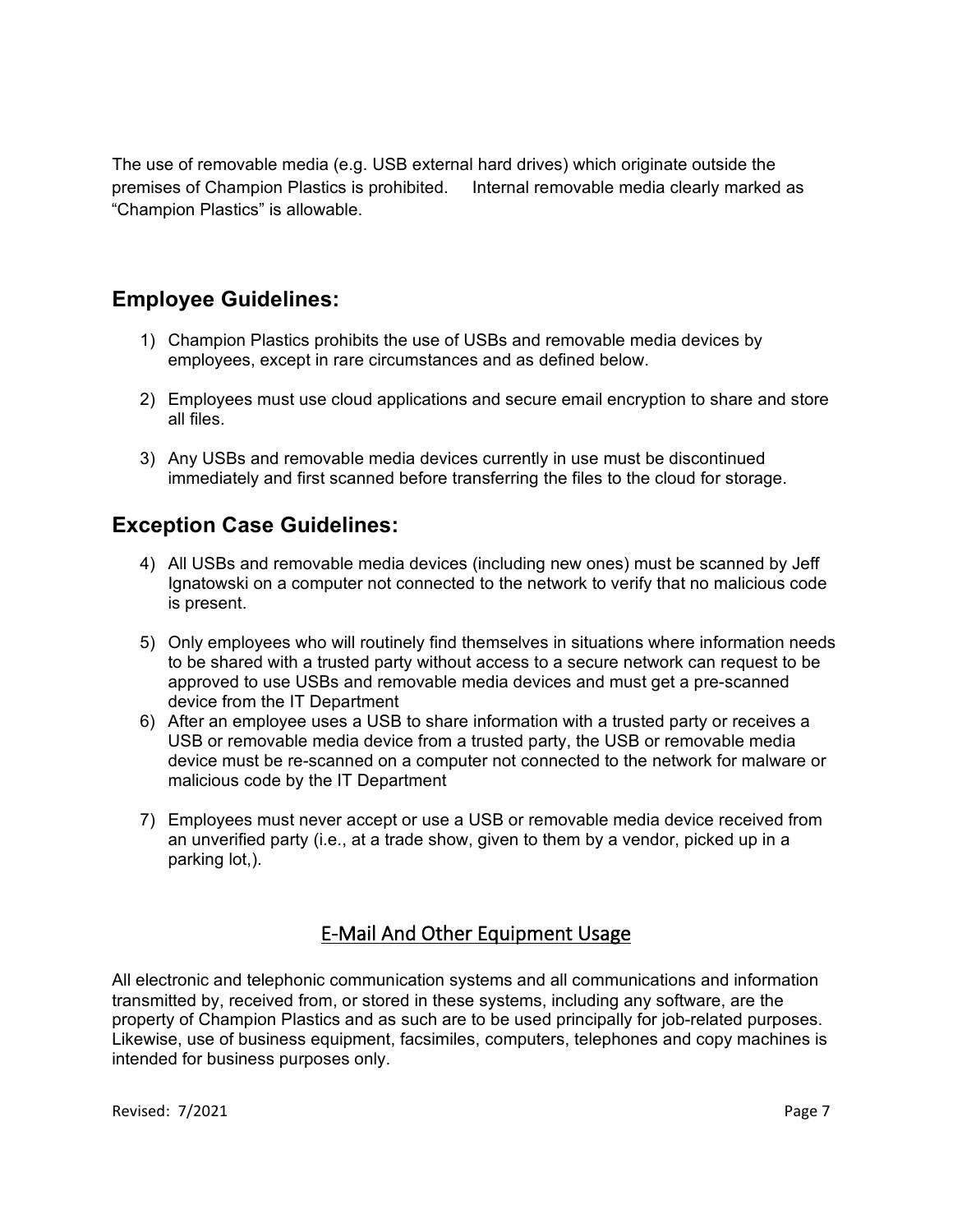The use of removable media (e.g. USB external hard drives) which originate outside the premises of Champion Plastics is prohibited. Internal removable media clearly marked as "Champion Plastics" is allowable.

# **Employee Guidelines:**

- 1) Champion Plastics prohibits the use of USBs and removable media devices by employees, except in rare circumstances and as defined below.
- 2) Employees must use cloud applications and secure email encryption to share and store all files.
- 3) Any USBs and removable media devices currently in use must be discontinued immediately and first scanned before transferring the files to the cloud for storage.

# **Exception Case Guidelines:**

- 4) All USBs and removable media devices (including new ones) must be scanned by Jeff Ignatowski on a computer not connected to the network to verify that no malicious code is present.
- 5) Only employees who will routinely find themselves in situations where information needs to be shared with a trusted party without access to a secure network can request to be approved to use USBs and removable media devices and must get a pre-scanned device from the IT Department
- 6) After an employee uses a USB to share information with a trusted party or receives a USB or removable media device from a trusted party, the USB or removable media device must be re-scanned on a computer not connected to the network for malware or malicious code by the IT Department
- 7) Employees must never accept or use a USB or removable media device received from an unverified party (i.e., at a trade show, given to them by a vendor, picked up in a parking lot,).

# E-Mail And Other Equipment Usage

All electronic and telephonic communication systems and all communications and information transmitted by, received from, or stored in these systems, including any software, are the property of Champion Plastics and as such are to be used principally for job-related purposes. Likewise, use of business equipment, facsimiles, computers, telephones and copy machines is intended for business purposes only.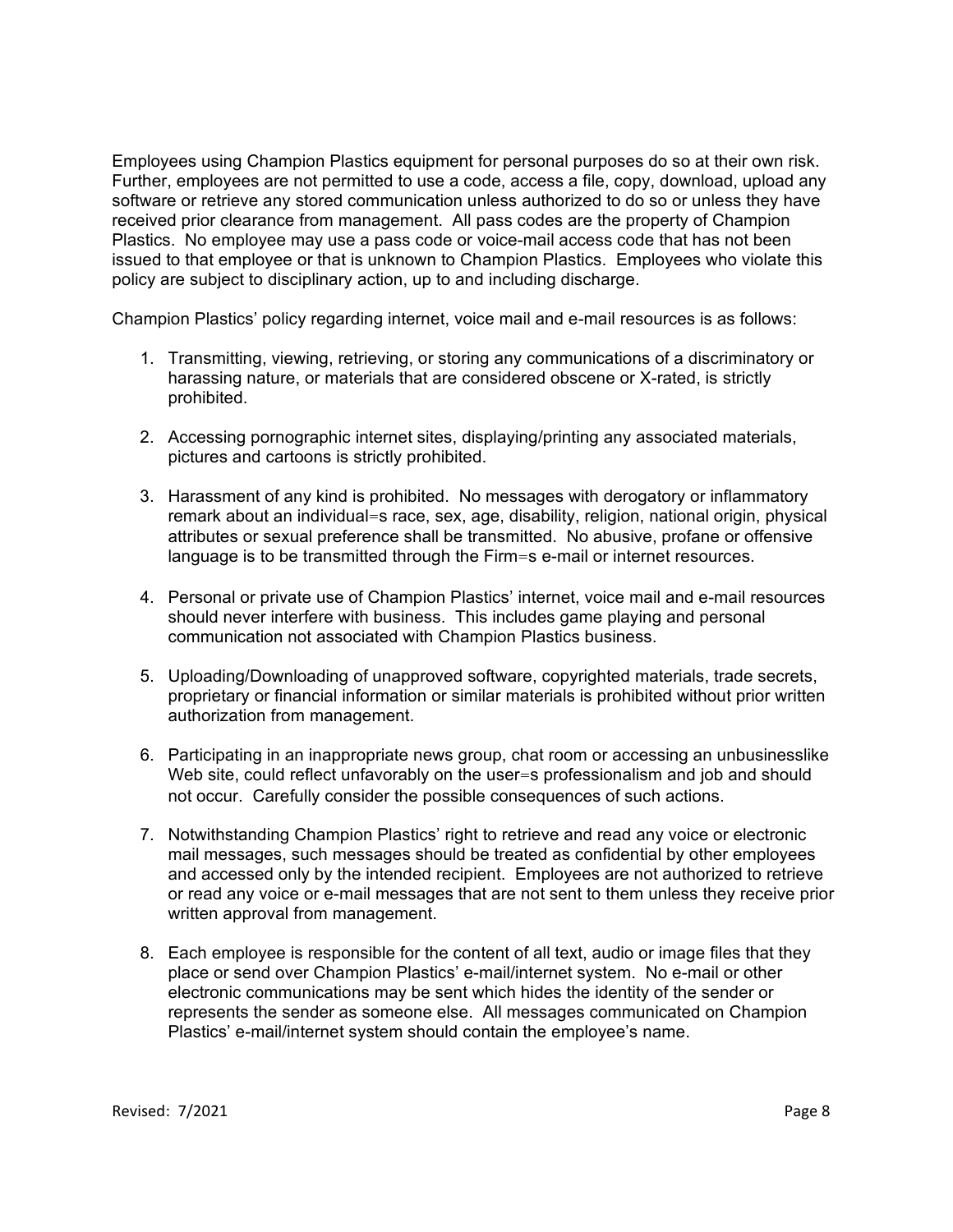Employees using Champion Plastics equipment for personal purposes do so at their own risk. Further, employees are not permitted to use a code, access a file, copy, download, upload any software or retrieve any stored communication unless authorized to do so or unless they have received prior clearance from management. All pass codes are the property of Champion Plastics. No employee may use a pass code or voice-mail access code that has not been issued to that employee or that is unknown to Champion Plastics. Employees who violate this policy are subject to disciplinary action, up to and including discharge.

Champion Plastics' policy regarding internet, voice mail and e-mail resources is as follows:

- 1. Transmitting, viewing, retrieving, or storing any communications of a discriminatory or harassing nature, or materials that are considered obscene or X-rated, is strictly prohibited.
- 2. Accessing pornographic internet sites, displaying/printing any associated materials, pictures and cartoons is strictly prohibited.
- 3. Harassment of any kind is prohibited. No messages with derogatory or inflammatory remark about an individual=s race, sex, age, disability, religion, national origin, physical attributes or sexual preference shall be transmitted. No abusive, profane or offensive language is to be transmitted through the Firm=s e-mail or internet resources.
- 4. Personal or private use of Champion Plastics' internet, voice mail and e-mail resources should never interfere with business. This includes game playing and personal communication not associated with Champion Plastics business.
- 5. Uploading/Downloading of unapproved software, copyrighted materials, trade secrets, proprietary or financial information or similar materials is prohibited without prior written authorization from management.
- 6. Participating in an inappropriate news group, chat room or accessing an unbusinesslike Web site, could reflect unfavorably on the user=s professionalism and job and should not occur. Carefully consider the possible consequences of such actions.
- 7. Notwithstanding Champion Plastics' right to retrieve and read any voice or electronic mail messages, such messages should be treated as confidential by other employees and accessed only by the intended recipient. Employees are not authorized to retrieve or read any voice or e-mail messages that are not sent to them unless they receive prior written approval from management.
- 8. Each employee is responsible for the content of all text, audio or image files that they place or send over Champion Plastics' e-mail/internet system. No e-mail or other electronic communications may be sent which hides the identity of the sender or represents the sender as someone else. All messages communicated on Champion Plastics' e-mail/internet system should contain the employee's name.